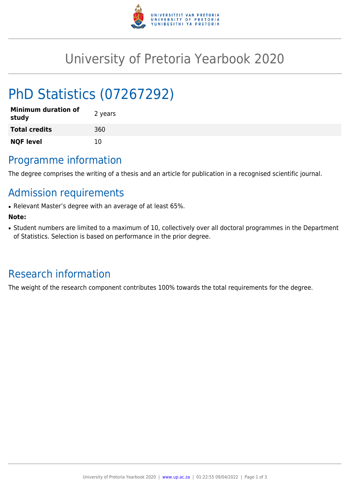

# University of Pretoria Yearbook 2020

# PhD Statistics (07267292)

| <b>Minimum duration of</b><br>study | 2 years |
|-------------------------------------|---------|
| <b>Total credits</b>                | 360     |
| <b>NQF level</b>                    | 10      |

# Programme information

The degree comprises the writing of a thesis and an article for publication in a recognised scientific journal.

# Admission requirements

• Relevant Master's degree with an average of at least 65%.

### **Note:**

• Student numbers are limited to a maximum of 10, collectively over all doctoral programmes in the Department of Statistics. Selection is based on performance in the prior degree.

# Research information

The weight of the research component contributes 100% towards the total requirements for the degree.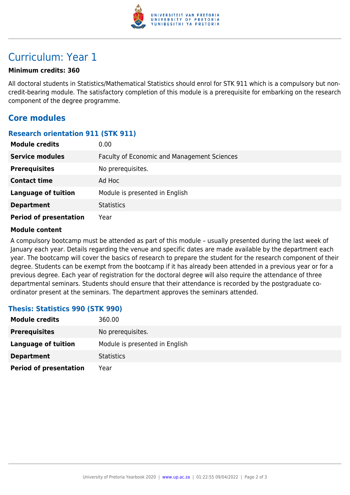

## Curriculum: Year 1

#### **Minimum credits: 360**

All doctoral students in Statistics/Mathematical Statistics should enrol for STK 911 which is a compulsory but noncredit-bearing module. The satisfactory completion of this module is a prerequisite for embarking on the research component of the degree programme.

### **Core modules**

#### **Research orientation 911 (STK 911)**

| <b>Module credits</b>         | 0.00                                        |
|-------------------------------|---------------------------------------------|
| <b>Service modules</b>        | Faculty of Economic and Management Sciences |
| <b>Prerequisites</b>          | No prerequisites.                           |
| <b>Contact time</b>           | Ad Hoc                                      |
| <b>Language of tuition</b>    | Module is presented in English              |
| <b>Department</b>             | <b>Statistics</b>                           |
| <b>Period of presentation</b> | Year                                        |

#### **Module content**

A compulsory bootcamp must be attended as part of this module – usually presented during the last week of January each year. Details regarding the venue and specific dates are made available by the department each year. The bootcamp will cover the basics of research to prepare the student for the research component of their degree. Students can be exempt from the bootcamp if it has already been attended in a previous year or for a previous degree. Each year of registration for the doctoral degree will also require the attendance of three departmental seminars. Students should ensure that their attendance is recorded by the postgraduate coordinator present at the seminars. The department approves the seminars attended.

### **Thesis: Statistics 990 (STK 990)**

| <b>Module credits</b>         | 360.00                         |
|-------------------------------|--------------------------------|
| <b>Prerequisites</b>          | No prerequisites.              |
| Language of tuition           | Module is presented in English |
| <b>Department</b>             | <b>Statistics</b>              |
| <b>Period of presentation</b> | Year                           |